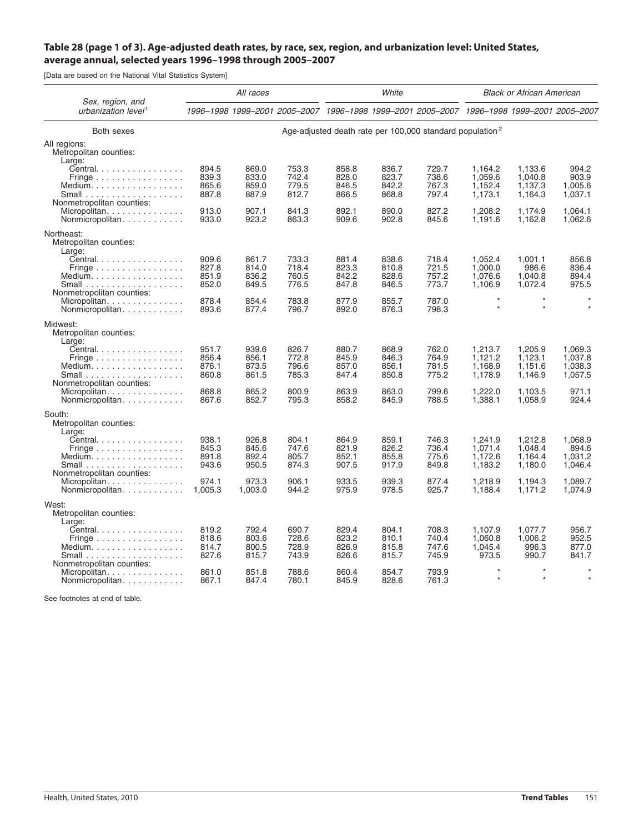## Table 28 (page 1 of 3). Age-adjusted death rates, by race, sex, region, and urbanization level: United States, **average annual, selected years 1996–1998 through 2005–2007**

[Data are based on the National Vital Statistics System]

|                                                                                                                                                                                          | All races                        |                                  |                                                                                           | White                            |                                  |                                                                      | <b>Black or African American</b>         |                                          |                                          |
|------------------------------------------------------------------------------------------------------------------------------------------------------------------------------------------|----------------------------------|----------------------------------|-------------------------------------------------------------------------------------------|----------------------------------|----------------------------------|----------------------------------------------------------------------|------------------------------------------|------------------------------------------|------------------------------------------|
| Sex, region, and<br>urbanization level <sup>1</sup>                                                                                                                                      |                                  |                                  | 1996-1998 1999-2001 2005-2007 1996-1998 1999-2001 2005-2007 1996-1998 1999-2001 2005-2007 |                                  |                                  |                                                                      |                                          |                                          |                                          |
| Both sexes                                                                                                                                                                               |                                  |                                  |                                                                                           |                                  |                                  | Age-adjusted death rate per 100,000 standard population <sup>2</sup> |                                          |                                          |                                          |
| All regions:<br>Metropolitan counties:<br>Large:                                                                                                                                         |                                  |                                  |                                                                                           |                                  |                                  |                                                                      |                                          |                                          |                                          |
| Central.<br>Fringe $\ldots \ldots \ldots \ldots \ldots$<br>Medium.<br>Small $\ldots \ldots \ldots \ldots \ldots$<br>Nonmetropolitan counties:                                            | 894.5<br>839.3<br>865.6<br>887.8 | 869.0<br>833.0<br>859.0<br>887.9 | 753.3<br>742.4<br>779.5<br>812.7                                                          | 858.8<br>828.0<br>846.5<br>866.5 | 836.7<br>823.7<br>842.2<br>868.8 | 729.7<br>738.6<br>767.3<br>797.4                                     | 1,164.2<br>1,059.6<br>1,152.4<br>1,173.1 | 1.133.6<br>1,040.8<br>1,137.3<br>1,164.3 | 994.2<br>903.9<br>1,005.6<br>1,037.1     |
| Micropolitan<br>Nonmicropolitan                                                                                                                                                          | 913.0<br>933.0                   | 907.1<br>923.2                   | 841.3<br>863.3                                                                            | 892.1<br>909.6                   | 890.0<br>902.8                   | 827.2<br>845.6                                                       | 1,208.2<br>1,191.6                       | 1,174.9<br>1,162.8                       | 1.064.1<br>1,062.6                       |
| Northeast:<br>Metropolitan counties:<br>Large:                                                                                                                                           |                                  |                                  |                                                                                           |                                  |                                  |                                                                      |                                          |                                          |                                          |
| Central.<br>Fringe $\ldots \ldots \ldots \ldots \ldots$<br>Medium.                                                                                                                       | 909.6<br>827.8<br>851.9<br>852.0 | 861.7<br>814.0<br>836.2<br>849.5 | 733.3<br>718.4<br>760.5<br>776.5                                                          | 881.4<br>823.3<br>842.2<br>847.8 | 838.6<br>810.8<br>828.6<br>846.5 | 718.4<br>721.5<br>757.2<br>773.7                                     | 1,052.4<br>1.000.0<br>1,076.6<br>1,106.9 | 1,001.1<br>986.6<br>1.040.8<br>1,072.4   | 856.8<br>836.4<br>894.4<br>975.5         |
| Nonmetropolitan counties:<br>Micropolitan.<br>Nonmicropolitan                                                                                                                            | 878.4<br>893.6                   | 854.4<br>877.4                   | 783.8<br>796.7                                                                            | 877.9<br>892.0                   | 855.7<br>876.3                   | 787.0<br>798.3                                                       | $\star$<br>$\star$                       | $\star$<br>$\star$                       | $\star$<br>$\star$                       |
| Midwest:<br>Metropolitan counties:<br>Large:                                                                                                                                             |                                  |                                  |                                                                                           |                                  |                                  |                                                                      |                                          |                                          |                                          |
| Central<br>Fringe $\ldots \ldots \ldots \ldots \ldots$<br>Medium. $\ldots \ldots \ldots \ldots \ldots$<br>Small $\ldots \ldots \ldots \ldots \ldots \ldots$<br>Nonmetropolitan counties: | 951.7<br>856.4<br>876.1<br>860.8 | 939.6<br>856.1<br>873.5<br>861.5 | 826.7<br>772.8<br>796.6<br>785.3                                                          | 880.7<br>845.9<br>857.0<br>847.4 | 868.9<br>846.3<br>856.1<br>850.8 | 762.0<br>764.9<br>781.5<br>775.2                                     | 1,213.7<br>1,121.2<br>1,168.9<br>1,178.9 | 1,205.9<br>1,123.1<br>1,151.6<br>1,146.9 | 1,069.3<br>1,037.8<br>1,038.3<br>1,057.5 |
| Micropolitan<br>Nonmicropolitan                                                                                                                                                          | 868.8<br>867.6                   | 865.2<br>852.7                   | 800.9<br>795.3                                                                            | 863.9<br>858.2                   | 863.0<br>845.9                   | 799.6<br>788.5                                                       | 1,222.0<br>1,388.1                       | 1,103.5<br>1,058.9                       | 971.1<br>924.4                           |
| South:<br>Metropolitan counties:<br>Large:                                                                                                                                               |                                  |                                  |                                                                                           |                                  |                                  |                                                                      |                                          |                                          |                                          |
| Central.<br>Fringe $\ldots \ldots \ldots \ldots \ldots$<br>Medium. $\ldots \ldots \ldots \ldots \ldots$                                                                                  | 938.1<br>845.3<br>891.8<br>943.6 | 926.8<br>845.6<br>892.4<br>950.5 | 804.1<br>747.6<br>805.7<br>874.3                                                          | 864.9<br>821.9<br>852.1<br>907.5 | 859.1<br>826.2<br>855.8<br>917.9 | 746.3<br>736.4<br>775.6<br>849.8                                     | 1,241.9<br>1.071.4<br>1.172.6<br>1,183.2 | 1,212.8<br>1.048.4<br>1.164.4<br>1,180.0 | 1,068.9<br>894.6<br>1.031.2<br>1,046.4   |
| Nonmetropolitan counties:<br>Micropolitan<br>Nonmicropolitan                                                                                                                             | 974.1<br>1.005.3                 | 973.3<br>1,003.0                 | 906.1<br>944.2                                                                            | 933.5<br>975.9                   | 939.3<br>978.5                   | 877.4<br>925.7                                                       | 1,218.9<br>1,188.4                       | 1,194.3<br>1,171.2                       | 1,089.7<br>1,074.9                       |
| West:<br>Metropolitan counties:<br>Large:                                                                                                                                                |                                  |                                  |                                                                                           |                                  |                                  |                                                                      |                                          |                                          |                                          |
| Central.<br>Fringe $\ldots \ldots \ldots \ldots \ldots$<br>Medium.                                                                                                                       | 819.2<br>818.6<br>814.7<br>827.6 | 792.4<br>803.6<br>800.5<br>815.7 | 690.7<br>728.6<br>728.9<br>743.9                                                          | 829.4<br>823.2<br>826.9<br>826.6 | 804.1<br>810.1<br>815.8<br>815.7 | 708.3<br>740.4<br>747.6<br>745.9                                     | 1,107.9<br>1.060.8<br>1,045.4<br>973.5   | 1,077.7<br>1.006.2<br>996.3<br>990.7     | 956.7<br>952.5<br>877.0<br>841.7         |
| Nonmetropolitan counties:<br>Micropolitan.<br>Nonmicropolitan                                                                                                                            | 861.0<br>867.1                   | 851.8<br>847.4                   | 788.6<br>780.1                                                                            | 860.4<br>845.9                   | 854.7<br>828.6                   | 793.9<br>761.3                                                       | $\star$<br>$\star$                       | $\star$<br>$\star$                       | $\star$<br>$\star$                       |

See footnotes at end of table.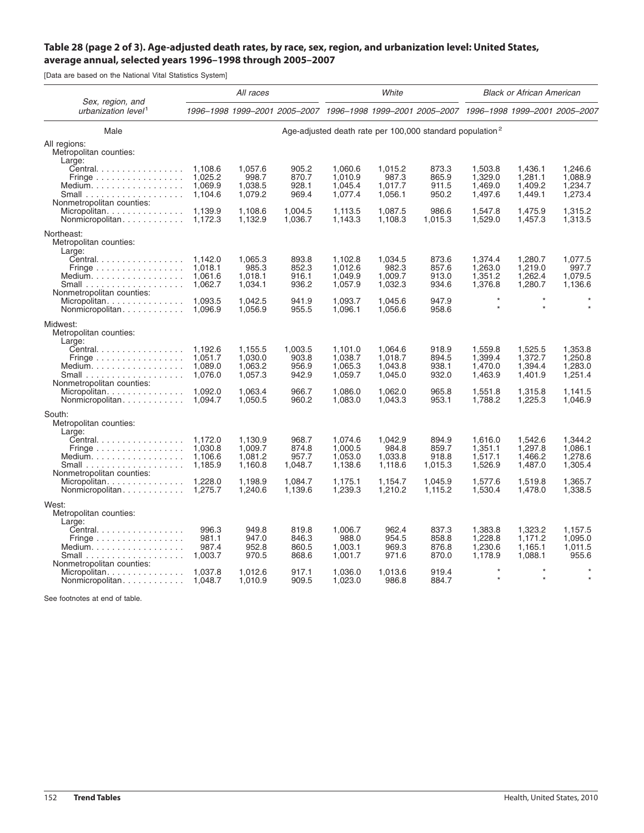## Table 28 (page 2 of 3). Age-adjusted death rates, by race, sex, region, and urbanization level: United States, **average annual, selected years 1996–1998 through 2005–2007**

[Data are based on the National Vital Statistics System]

|                                                                                                                                      | All races                                |                                          |                                                                                           | White                                    |                                          |                                                                      | <b>Black or African American</b>         |                                          |                                          |
|--------------------------------------------------------------------------------------------------------------------------------------|------------------------------------------|------------------------------------------|-------------------------------------------------------------------------------------------|------------------------------------------|------------------------------------------|----------------------------------------------------------------------|------------------------------------------|------------------------------------------|------------------------------------------|
| Sex, region, and<br>urbanization level <sup>1</sup>                                                                                  |                                          |                                          | 1996-1998 1999-2001 2005-2007 1996-1998 1999-2001 2005-2007 1996-1998 1999-2001 2005-2007 |                                          |                                          |                                                                      |                                          |                                          |                                          |
| Male                                                                                                                                 |                                          |                                          |                                                                                           |                                          |                                          | Age-adjusted death rate per 100,000 standard population <sup>2</sup> |                                          |                                          |                                          |
| All regions:<br>Metropolitan counties:<br>Large:                                                                                     |                                          |                                          |                                                                                           |                                          |                                          |                                                                      |                                          |                                          |                                          |
| Central.<br>Fringe $\ldots \ldots \ldots \ldots \ldots$<br>Medium. $\ldots \ldots \ldots \ldots \ldots$<br>Nonmetropolitan counties: | 1,108.6<br>1.025.2<br>1.069.9<br>1,104.6 | 1,057.6<br>998.7<br>1,038.5<br>1,079.2   | 905.2<br>870.7<br>928.1<br>969.4                                                          | 1,060.6<br>1,010.9<br>1,045.4<br>1,077.4 | 1,015.2<br>987.3<br>1.017.7<br>1,056.1   | 873.3<br>865.9<br>911.5<br>950.2                                     | 1,503.8<br>1,329.0<br>1,469.0<br>1,497.6 | 1,436.1<br>1,281.1<br>1.409.2<br>1,449.1 | 1,246.6<br>1,088.9<br>1,234.7<br>1,273.4 |
| Micropolitan<br>Nonmicropolitan                                                                                                      | 1.139.9<br>1,172.3                       | 1.108.6<br>1,132.9                       | 1.004.5<br>1,036.7                                                                        | 1.113.5<br>1,143.3                       | 1.087.5<br>1,108.3                       | 986.6<br>1,015.3                                                     | 1.547.8<br>1,529.0                       | 1,475.9<br>1,457.3                       | 1,315.2<br>1,313.5                       |
| Northeast:<br>Metropolitan counties:<br>Large:                                                                                       |                                          |                                          |                                                                                           |                                          |                                          |                                                                      |                                          |                                          |                                          |
| Central.<br>Fringe $\ldots \ldots \ldots \ldots \ldots$<br>Medium. $\ldots \ldots \ldots \ldots \ldots$                              | 1.142.0<br>1.018.1<br>1,061.6<br>1,062.7 | 1,065.3<br>985.3<br>1,018.1<br>1,034.1   | 893.8<br>852.3<br>916.1<br>936.2                                                          | 1,102.8<br>1.012.6<br>1,049.9<br>1,057.9 | 1,034.5<br>982.3<br>1,009.7<br>1,032.3   | 873.6<br>857.6<br>913.0<br>934.6                                     | 1,374.4<br>1.263.0<br>1,351.2<br>1,376.8 | 1,280.7<br>1.219.0<br>1,262.4<br>1,280.7 | 1,077.5<br>997.7<br>1,079.5<br>1,136.6   |
| Nonmetropolitan counties:<br>Micropolitan<br>Nonmicropolitan                                                                         | 1,093.5<br>1.096.9                       | 1,042.5<br>1,056.9                       | 941.9<br>955.5                                                                            | 1,093.7<br>1,096.1                       | 1,045.6<br>1,056.6                       | 947.9<br>958.6                                                       | $\star$<br>$\star$                       | $\star$<br>$\star$                       | $\star$<br>$\star$                       |
| Midwest:<br>Metropolitan counties:<br>Large:                                                                                         |                                          |                                          |                                                                                           |                                          |                                          |                                                                      |                                          |                                          |                                          |
| Central.<br>Fringe<br>Medium.<br>Small $\ldots \ldots \ldots \ldots \ldots$                                                          | 1.192.6<br>1,051.7<br>1.089.0<br>1.076.0 | 1,155.5<br>1,030.0<br>1,063.2<br>1,057.3 | 1,003.5<br>903.8<br>956.9<br>942.9                                                        | 1,101.0<br>1,038.7<br>1,065.3<br>1,059.7 | 1,064.6<br>1,018.7<br>1,043.8<br>1,045.0 | 918.9<br>894.5<br>938.1<br>932.0                                     | 1,559.8<br>1,399.4<br>1,470.0<br>1,463.9 | 1,525.5<br>1,372.7<br>1,394.4<br>1,401.9 | 1,353.8<br>1,250.8<br>1,283.0<br>1,251.4 |
| Nonmetropolitan counties:<br>Micropolitan.<br>Nonmicropolitan                                                                        | 1.092.0<br>1.094.7                       | 1,063.4<br>1,050.5                       | 966.7<br>960.2                                                                            | 1,086.0<br>1,083.0                       | 1,062.0<br>1,043.3                       | 965.8<br>953.1                                                       | 1,551.8<br>1,788.2                       | 1,315.8<br>1,225.3                       | 1,141.5<br>1,046.9                       |
| South:<br>Metropolitan counties:                                                                                                     |                                          |                                          |                                                                                           |                                          |                                          |                                                                      |                                          |                                          |                                          |
| Large:<br>Central.<br>Fringe $\ldots \ldots \ldots \ldots \ldots$<br>Medium.                                                         | 1,172.0<br>1.030.8<br>1.106.6<br>1,185.9 | 1,130.9<br>1.009.7<br>1.081.2<br>1,160.8 | 968.7<br>874.8<br>957.7<br>1,048.7                                                        | 1,074.6<br>1.000.5<br>1.053.0<br>1,138.6 | 1,042.9<br>984.8<br>1.033.8<br>1,118.6   | 894.9<br>859.7<br>918.8<br>1,015.3                                   | 1,616.0<br>1,351.1<br>1.517.1<br>1,526.9 | 1,542.6<br>1.297.8<br>1.466.2<br>1,487.0 | 1,344.2<br>1.086.1<br>1,278.6<br>1,305.4 |
| Nonmetropolitan counties:<br>Micropolitan.<br>Nonmicropolitan                                                                        | 1.228.0<br>1,275.7                       | 1,198.9<br>1,240.6                       | 1.084.7<br>1,139.6                                                                        | 1,175.1<br>1,239.3                       | 1,154.7<br>1,210.2                       | 1,045.9<br>1,115.2                                                   | 1,577.6<br>1,530.4                       | 1,519.8<br>1,478.0                       | 1,365.7<br>1,338.5                       |
| West:<br>Metropolitan counties:                                                                                                      |                                          |                                          |                                                                                           |                                          |                                          |                                                                      |                                          |                                          |                                          |
| Large:<br>Central.<br>Fringe $\ldots \ldots \ldots \ldots \ldots$<br>Medium.<br>Small $\ldots \ldots \ldots \ldots \ldots \ldots$    | 996.3<br>981.1<br>987.4<br>1,003.7       | 949.8<br>947.0<br>952.8<br>970.5         | 819.8<br>846.3<br>860.5<br>868.6                                                          | 1,006.7<br>988.0<br>1,003.1<br>1,001.7   | 962.4<br>954.5<br>969.3<br>971.6         | 837.3<br>858.8<br>876.8<br>870.0                                     | 1,383.8<br>1.228.8<br>1,230.6<br>1,178.9 | 1,323.2<br>1.171.2<br>1.165.1<br>1,088.1 | 1,157.5<br>1.095.0<br>1,011.5<br>955.6   |
| Nonmetropolitan counties:<br>Micropolitan<br>Nonmicropolitan                                                                         | 1,037.8<br>1,048.7                       | 1,012.6<br>1,010.9                       | 917.1<br>909.5                                                                            | 1.036.0<br>1,023.0                       | 1,013.6<br>986.8                         | 919.4<br>884.7                                                       | $\star$                                  | $\star$                                  | $\star$                                  |

See footnotes at end of table.